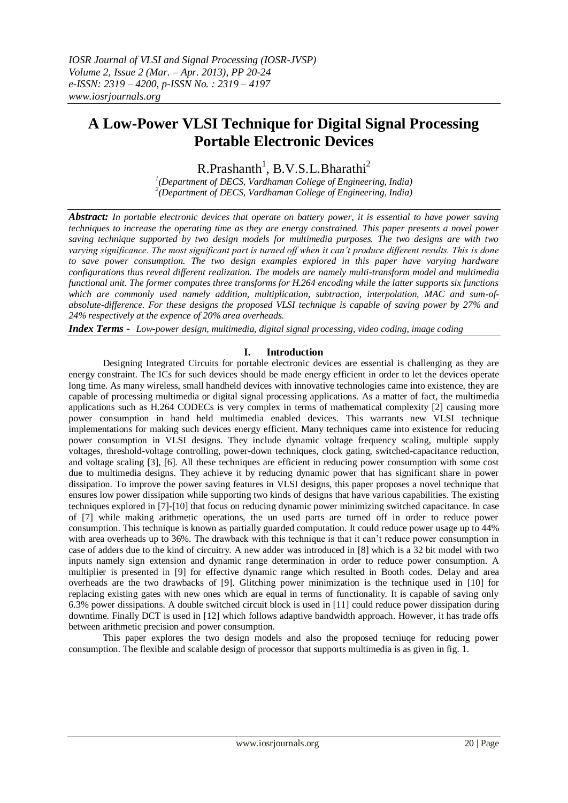# **A Low-Power VLSI Technique for Digital Signal Processing Portable Electronic Devices**

 $R.Prashanth<sup>1</sup>, B.V.S.L.Bharathi<sup>2</sup>$ 

*1 (Department of DECS, Vardhaman College of Engineering, India) 2 (Department of DECS, Vardhaman College of Engineering, India)*

*Abstract: In portable electronic devices that operate on battery power, it is essential to have power saving techniques to increase the operating time as they are energy constrained. This paper presents a novel power saving technique supported by two design models for multimedia purposes. The two designs are with two varying significance. The most significant part is turned off when it can't produce different results. This is done to save power consumption. The two design examples explored in this paper have varying hardware configurations thus reveal different realization. The models are namely multi-transform model and multimedia functional unit. The former computes three transforms for H.264 encoding while the latter supports six functions which are commonly used namely addition, multiplication, subtraction, interpolation, MAC and sum-ofabsolute-difference. For these designs the proposed VLSI technique is capable of saving power by 27% and 24% respectively at the expence of 20% area overheads.* 

*Index Terms* **-** *Low-power design, multimedia, digital signal processing, video coding, image coding*

#### **I. Introduction**

Designing Integrated Circuits for portable electronic devices are essential is challenging as they are energy constraint. The ICs for such devices should be made energy efficient in order to let the devices operate long time. As many wireless, small handheld devices with innovative technologies came into existence, they are capable of processing multimedia or digital signal processing applications. As a matter of fact, the multimedia applications such as H.264 CODECs is very complex in terms of mathematical complexity [2] causing more power consumption in hand held multimedia enabled devices. This warrants new VLSI technique implementations for making such devices energy efficient. Many techniques came into existence for reducing power consumption in VLSI designs. They include dynamic voltage frequency scaling, multiple supply voltages, threshold-voltage controlling, power-down techniques, clock gating, switched-capacitance reduction, and voltage scaling [3], [6]. All these techniques are efficient in reducing power consumption with some cost due to multimedia designs. They achieve it by reducing dynamic power that has significant share in power dissipation. To improve the power saving features in VLSI designs, this paper proposes a novel technique that ensures low power dissipation while supporting two kinds of designs that have various capabilities. The existing techniques explored in [7]-[10] that focus on reducing dynamic power minimizing switched capacitance. In case of [7] while making arithmetic operations, the un used parts are turned off in order to reduce power consumption. This technique is known as partially guarded computation. It could reduce power usage up to 44% with area overheads up to 36%. The drawback with this technique is that it can't reduce power consumption in case of adders due to the kind of circuitry. A new adder was introduced in [8] which is a 32 bit model with two inputs namely sign extension and dynamic range determination in order to reduce power consumption. A multiplier is presented in [9] for effective dynamic range which resulted in Booth codes. Delay and area overheads are the two drawbacks of [9]. Glitching power minimization is the technique used in [10] for replacing existing gates with new ones which are equal in terms of functionality. It is capable of saving only 6.3% power dissipations. A double switched circuit block is used in [11] could reduce power dissipation during downtime. Finally DCT is used in [12] which follows adaptive bandwidth approach. However, it has trade offs between arithmetic precision and power consumption.

This paper explores the two design models and also the proposed tecniuqe for reducing power consumption. The flexible and scalable design of processor that supports multimedia is as given in fig. 1.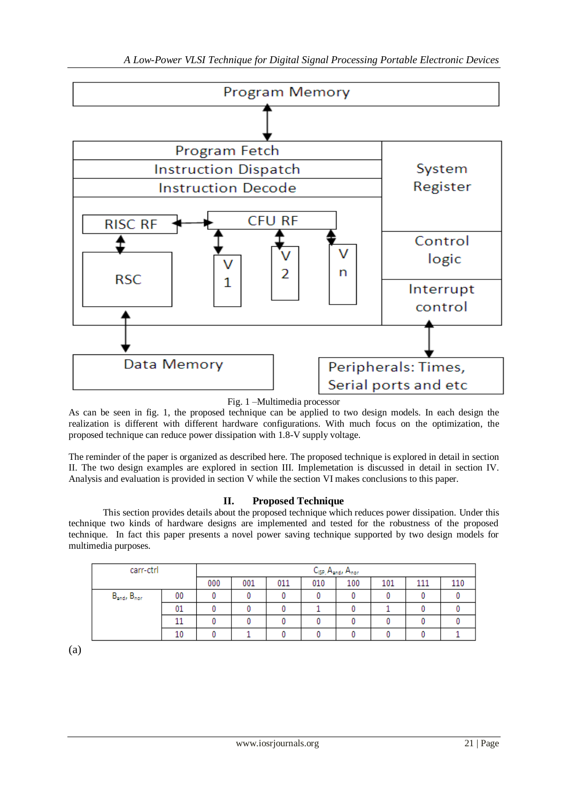

Fig. 1 –Multimedia processor

As can be seen in fig. 1, the proposed technique can be applied to two design models. In each design the realization is different with different hardware configurations. With much focus on the optimization, the proposed technique can reduce power dissipation with 1.8-V supply voltage.

The reminder of the paper is organized as described here. The proposed technique is explored in detail in section II. The two design examples are explored in section III. Implemetation is discussed in detail in section IV. Analysis and evaluation is provided in section V while the section VI makes conclusions to this paper.

# **II. Proposed Technique**

This section provides details about the proposed technique which reduces power dissipation. Under this technique two kinds of hardware designs are implemented and tested for the robustness of the proposed technique. In fact this paper presents a novel power saving technique supported by two design models for multimedia purposes.

| carr-ctrl             |    | Cisp, Aand, Anor |     |     |     |     |     |     |  |
|-----------------------|----|------------------|-----|-----|-----|-----|-----|-----|--|
|                       |    | 000              | 001 | 011 | 010 | 100 | 101 | 111 |  |
| $B_{and}$ , $B_{nor}$ | 00 |                  |     |     |     |     |     |     |  |
|                       | 01 |                  |     |     |     |     |     |     |  |
|                       |    |                  |     |     |     |     |     |     |  |
|                       | 10 |                  |     |     |     |     |     |     |  |

(a)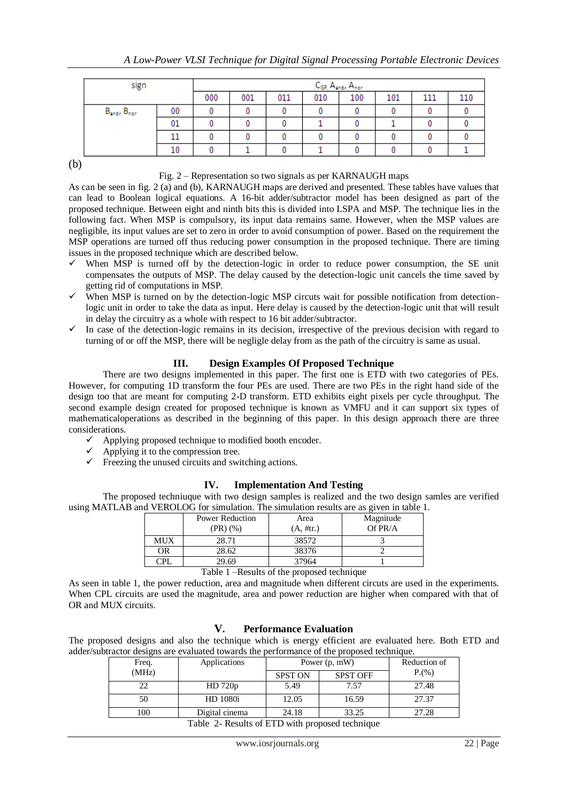| sign                                |    | C <sub>ISP</sub> , A <sub>nnd</sub> , A <sub>nor</sub> |     |     |     |     |     |     |     |
|-------------------------------------|----|--------------------------------------------------------|-----|-----|-----|-----|-----|-----|-----|
|                                     |    | 000                                                    | 001 | 011 | 010 | 100 | 101 | 111 | 110 |
| $B_{\text{and}}$ , $B_{\text{nor}}$ | 00 |                                                        |     |     |     |     |     |     |     |
|                                     | 01 |                                                        |     |     |     |     |     |     |     |
|                                     |    |                                                        |     |     |     |     |     |     |     |
|                                     | 10 |                                                        |     |     |     |     |     |     |     |

(b)

# Fig. 2 – Representation so two signals as per KARNAUGH maps

As can be seen in fig. 2 (a) and (b), KARNAUGH maps are derived and presented. These tables have values that can lead to Boolean logical equations. A 16-bit adder/subtractor model has been designed as part of the proposed technique. Between eight and ninth bits this is divided into LSPA and MSP. The technique lies in the following fact. When MSP is compulsory, its input data remains same. However, when the MSP values are negligible, its input values are set to zero in order to avoid consumption of power. Based on the requirement the MSP operations are turned off thus reducing power consumption in the proposed technique. There are timing issues in the proposed technique which are described below.

- $\checkmark$  When MSP is turned off by the detection-logic in order to reduce power consumption, the SE unit compensates the outputs of MSP. The delay caused by the detection-logic unit cancels the time saved by getting rid of computations in MSP.
- $\checkmark$  When MSP is turned on by the detection-logic MSP circuts wait for possible notification from detectionlogic unit in order to take the data as input. Here delay is caused by the detection-logic unit that will result in delay the circuitry as a whole with respect to 16 bit adder/subtractor.
- In case of the detection-logic remains in its decision, irrespective of the previous decision with regard to turning of or off the MSP, there will be negligle delay from as the path of the circuitry is same as usual.

# **III. Design Examples Of Proposed Technique**

There are two designs implemented in this paper. The first one is ETD with two categories of PEs. However, for computing 1D transform the four PEs are used. There are two PEs in the right hand side of the design too that are meant for computing 2-D transform. ETD exhibits eight pixels per cycle throughput. The second example design created for proposed technique is known as VMFU and it can support six types of mathematicaloperations as described in the beginning of this paper. In this design approach there are three considerations.

- $\checkmark$  Applying proposed technique to modified booth encoder.
- $\checkmark$  Applying it to the compression tree.
- $\checkmark$  Freezing the unused circuits and switching actions.

# **IV. Implementation And Testing**

The proposed techniuque with two design samples is realized and the two design samles are verified using MATLAB and VEROLOG for simulation. The simulation results are as given in table 1.

|     |                                      |                      | ت                    |
|-----|--------------------------------------|----------------------|----------------------|
|     | <b>Power Reduction</b><br>$(PR)(\%)$ | Area<br>$(A, \#tr.)$ | Magnitude<br>Of PR/A |
| MUX | 28.71                                | 38572                |                      |
| OR  | 28.62                                | 38376                |                      |
| ופר | 29.69                                | 37964                |                      |
|     |                                      |                      |                      |

Table 1 –Results of the proposed technique

As seen in table 1, the power reduction, area and magnitude when different circuts are used in the experiments. When CPL circuits are used the magnitude, area and power reduction are higher when compared with that of OR and MUX circuits.

# **V. Performance Evaluation**

The proposed designs and also the technique which is energy efficient are evaluated here. Both ETD and adder/subtractor designs are evaluated towards the performance of the proposed technique.

| Freq.                                           | Applications   | Power $(p, mW)$ | Reduction of    |       |
|-------------------------------------------------|----------------|-----------------|-----------------|-------|
| (MHz)                                           |                | <b>SPST ON</b>  | <b>SPST OFF</b> | P.(%) |
| 22                                              | HD 720p        | 5.49            | 7.57            | 27.48 |
| 50                                              | HD 1080i       | 12.05           | 16.59           | 27.37 |
| 100                                             | Digital cinema | 24.18           | 33.25           | 27.28 |
| Table 2- Results of ETD with proposed technique |                |                 |                 |       |

www.iosrjournals.org 22 | Page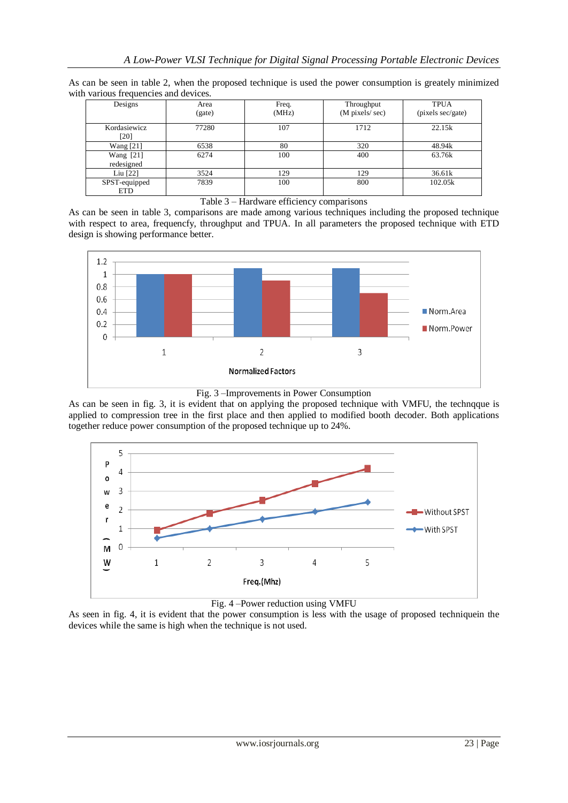| Designs                     | Area<br>(gate) | Freq.<br>(MHz) | Throughput<br>(M pixels/sec) | <b>TPUA</b><br>(pixels sec/gate) |
|-----------------------------|----------------|----------------|------------------------------|----------------------------------|
| Kordasiewicz<br>[20]        | 77280          | 107            | 1712                         | 22.15k                           |
| <b>Wang</b> [21]            | 6538           | 80             | 320                          | 48.94k                           |
| Wang [21]<br>redesigned     | 6274           | 100            | 400                          | 63.76k                           |
| Liu $[22]$                  | 3524           | 129            | 129                          | 36.61k                           |
| SPST-equipped<br><b>ETD</b> | 7839           | 100            | 800                          | 102.05k                          |

As can be seen in table 2, when the proposed technique is used the power consumption is greately minimized with various frequencies and devices.

#### Table 3 – Hardware efficiency comparisons

As can be seen in table 3, comparisons are made among various techniques including the proposed technique with respect to area, frequencfy, throughput and TPUA. In all parameters the proposed technique with ETD design is showing performance better.



Fig. 3 –Improvements in Power Consumption

As can be seen in fig. 3, it is evident that on applying the proposed technique with VMFU, the technqque is applied to compression tree in the first place and then applied to modified booth decoder. Both applications together reduce power consumption of the proposed technique up to 24%.





As seen in fig. 4, it is evident that the power consumption is less with the usage of proposed techniquein the devices while the same is high when the technique is not used.